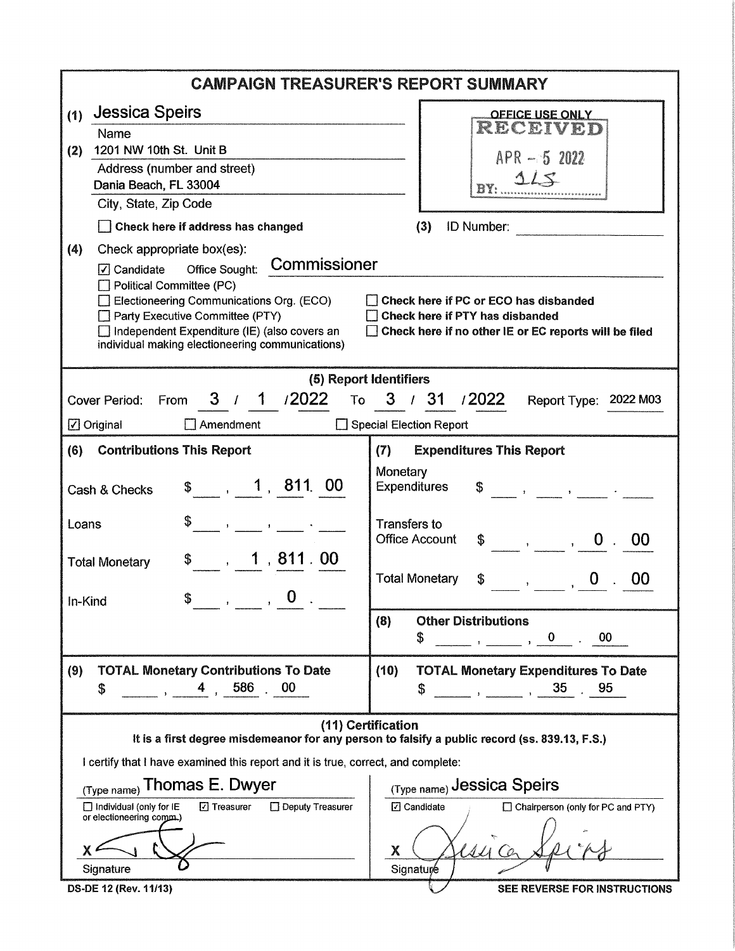| <b>CAMPAIGN TREASURER'S REPORT SUMMARY</b>                                                                                                                                                                                                                                                                                                                                                                                                                                                                            |                                                                                                                                                                                                                                                                                                                                                                                                                                                                                                     |  |  |  |  |
|-----------------------------------------------------------------------------------------------------------------------------------------------------------------------------------------------------------------------------------------------------------------------------------------------------------------------------------------------------------------------------------------------------------------------------------------------------------------------------------------------------------------------|-----------------------------------------------------------------------------------------------------------------------------------------------------------------------------------------------------------------------------------------------------------------------------------------------------------------------------------------------------------------------------------------------------------------------------------------------------------------------------------------------------|--|--|--|--|
| <b>Jessica Speirs</b><br>(1)<br>Name<br>1201 NW 10th St. Unit B<br>(2)<br>Address (number and street)<br>Dania Beach, FL 33004<br>City, State, Zip Code<br>Check here if address has changed<br>(4)<br>Check appropriate box(es):<br>Office Sought: Commissioner<br>$\sqrt{ }$ Candidate<br>Political Committee (PC)<br>- 1<br>$\Box$ Electioneering Communications Org. (ECO)<br>Party Executive Committee (PTY)<br>Independent Expenditure (IE) (also covers an<br>individual making electioneering communications) | <b>OFFICE USE ONLY</b><br>RECEIVED<br>$APR - 52022$<br>(3)<br>ID Number: <b>Example</b> 1<br>Check here if PC or ECO has disbanded<br>Check here if PTY has disbanded<br>Check here if no other IE or EC reports will be filed                                                                                                                                                                                                                                                                      |  |  |  |  |
|                                                                                                                                                                                                                                                                                                                                                                                                                                                                                                                       |                                                                                                                                                                                                                                                                                                                                                                                                                                                                                                     |  |  |  |  |
| (5) Report Identifiers<br>3 / 1 / 2022<br>From<br>Cover Period:<br>$\Box$ Amendment<br>$\boxdot$ Original                                                                                                                                                                                                                                                                                                                                                                                                             | To 3 / 31 / 2022<br>Report Type: 2022 M03<br>□ Special Election Report                                                                                                                                                                                                                                                                                                                                                                                                                              |  |  |  |  |
| <b>Contributions This Report</b><br>(6)                                                                                                                                                                                                                                                                                                                                                                                                                                                                               | <b>Expenditures This Report</b><br>(7)                                                                                                                                                                                                                                                                                                                                                                                                                                                              |  |  |  |  |
| $\frac{1}{2}$ , 1, 811, 00<br>Cash & Checks                                                                                                                                                                                                                                                                                                                                                                                                                                                                           | Monetary<br><b>Expenditures</b><br>$\begin{array}{ccc} \text{\$} & \text{\$} & \text{\$} & \text{\$} & \text{\$} & \text{\$} & \text{\$} & \text{\$} & \text{\$} & \text{\$} & \text{\$} & \text{\$} & \text{\$} & \text{\$} & \text{\$} & \text{\$} & \text{\$} & \text{\$} & \text{\$} & \text{\$} & \text{\$} & \text{\$} & \text{\$} & \text{\$} & \text{\$} & \text{\$} & \text{\$} & \text{\$} & \text{\$} & \text{\$} & \text{\$} & \text{\$} & \text{\$} & \text{\$} & \text{\$} & \text{\$ |  |  |  |  |
| \$<br>Loans<br>$\frac{1}{\sqrt{2}}$ $\frac{1}{\sqrt{2}}$ $\frac{1}{\sqrt{2}}$ $\frac{1}{\sqrt{2}}$ $\frac{1}{\sqrt{2}}$ $\frac{1}{\sqrt{2}}$ $\frac{1}{\sqrt{2}}$ $\frac{1}{\sqrt{2}}$ $\frac{1}{\sqrt{2}}$ $\frac{1}{\sqrt{2}}$ $\frac{1}{\sqrt{2}}$ $\frac{1}{\sqrt{2}}$ $\frac{1}{\sqrt{2}}$ $\frac{1}{\sqrt{2}}$ $\frac{1}{\sqrt{2}}$ $\frac{1}{\sqrt{2}}$ $\frac{1}{\sqrt{2}}$                                                                                                                                   | <b>Transfers to</b><br><b>Office Account</b><br>$\begin{array}{cccc} \text{\$} & \text{\$} & \text{\$} & \text{\$} & \text{\$} \end{array}$<br>00                                                                                                                                                                                                                                                                                                                                                   |  |  |  |  |
| $\sim$ , 1,811.00<br><b>Total Monetary</b><br>$\frac{1}{\sqrt{2}}$ , $\frac{1}{\sqrt{2}}$ , $\frac{1}{\sqrt{2}}$<br>\$<br>In-Kind                                                                                                                                                                                                                                                                                                                                                                                     | <b>Total Monetary</b><br>00<br>\$<br>$\mathbf{y} = \mathbf{y}$                                                                                                                                                                                                                                                                                                                                                                                                                                      |  |  |  |  |
|                                                                                                                                                                                                                                                                                                                                                                                                                                                                                                                       | <b>Other Distributions</b><br>(8)<br>00<br>S<br>$\mathbf{0}$                                                                                                                                                                                                                                                                                                                                                                                                                                        |  |  |  |  |
| <b>TOTAL Monetary Contributions To Date</b><br>(9)<br>586<br>00<br>\$                                                                                                                                                                                                                                                                                                                                                                                                                                                 | (10)<br><b>TOTAL Monetary Expenditures To Date</b><br>35<br>95<br>S                                                                                                                                                                                                                                                                                                                                                                                                                                 |  |  |  |  |
| (11) Certification<br>It is a first degree misdemeanor for any person to falsify a public record (ss. 839.13, F.S.)                                                                                                                                                                                                                                                                                                                                                                                                   |                                                                                                                                                                                                                                                                                                                                                                                                                                                                                                     |  |  |  |  |
| I certify that I have examined this report and it is true, correct, and complete:                                                                                                                                                                                                                                                                                                                                                                                                                                     |                                                                                                                                                                                                                                                                                                                                                                                                                                                                                                     |  |  |  |  |
| Thomas E. Dwyer<br>(Type name)                                                                                                                                                                                                                                                                                                                                                                                                                                                                                        | (Type name) Jessica Speirs                                                                                                                                                                                                                                                                                                                                                                                                                                                                          |  |  |  |  |
| □ Individual (only for IE<br>⊡ Treasurer<br>□ Deputy Treasurer<br>or electioneering comm.)                                                                                                                                                                                                                                                                                                                                                                                                                            | <b>□</b> Candidate<br>□ Chairperson (only for PC and PTY)                                                                                                                                                                                                                                                                                                                                                                                                                                           |  |  |  |  |
|                                                                                                                                                                                                                                                                                                                                                                                                                                                                                                                       | Χ                                                                                                                                                                                                                                                                                                                                                                                                                                                                                                   |  |  |  |  |
| Signature                                                                                                                                                                                                                                                                                                                                                                                                                                                                                                             | Signature                                                                                                                                                                                                                                                                                                                                                                                                                                                                                           |  |  |  |  |
| DS-DE 12 (Rev. 11/13)                                                                                                                                                                                                                                                                                                                                                                                                                                                                                                 | SEE REVERSE FOR INSTRUCTIONS                                                                                                                                                                                                                                                                                                                                                                                                                                                                        |  |  |  |  |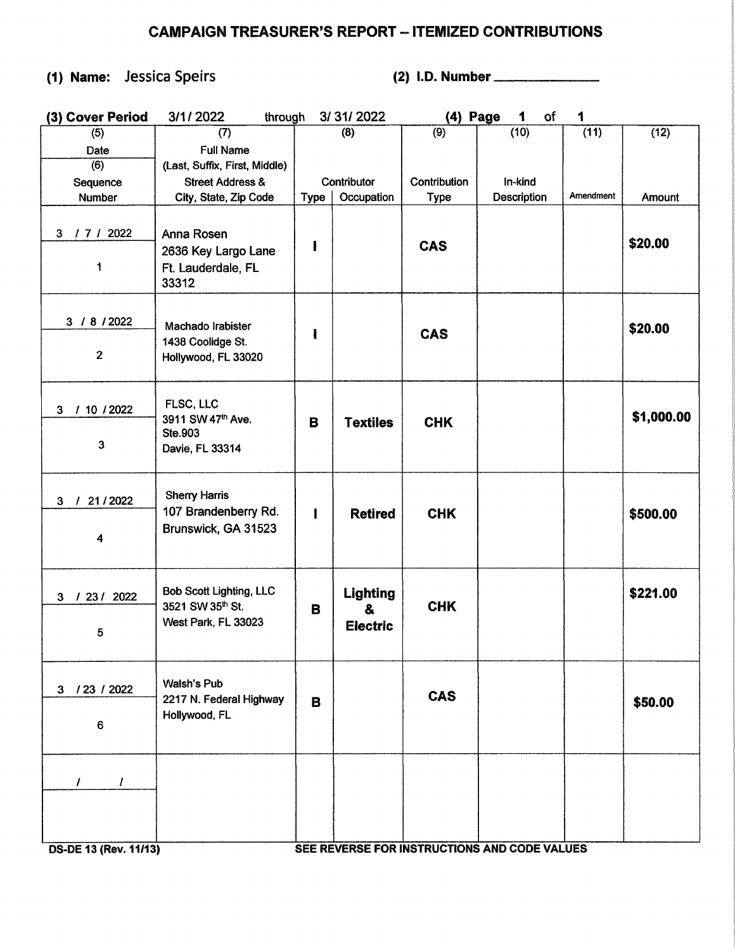## CAMPAIGN TREASURER'S REPORT - ITEMIZED CONTRIBUTIONS

## (1) Name: Jessica Speirs (2) 1.0. Number \_\_\_\_\_ \_

| (3) Cover Period                 | 3/1/2022<br>through                                                       |              | 3/31/2022                                          | (4) Page     | of<br>1     | 1         |            |
|----------------------------------|---------------------------------------------------------------------------|--------------|----------------------------------------------------|--------------|-------------|-----------|------------|
| (5)                              | (7)                                                                       |              | (8)                                                | (9)          | (10)        | (11)      | (12)       |
| Date                             | <b>Full Name</b>                                                          |              |                                                    |              |             |           |            |
| (6)                              | (Last, Suffix, First, Middle)                                             |              |                                                    |              |             |           |            |
| Sequence                         | <b>Street Address &amp;</b>                                               |              | Contributor                                        | Contribution | In-kind     |           |            |
| Number                           | City, State, Zip Code                                                     | Type         | Occupation                                         | <b>Type</b>  | Description | Amendment | Amount     |
| $\mathbf{3}$<br>1712022<br>1     | Anna Rosen<br>2636 Key Largo Lane<br>Ft. Lauderdale, FL<br>33312          | I            |                                                    | <b>CAS</b>   |             |           | \$20.00    |
| 3 / 8 / 2022<br>$\mathbf{2}$     | Machado Irabister<br>1438 Coolidge St.<br>Hollywood, FL 33020             |              |                                                    | <b>CAS</b>   |             |           | \$20.00    |
| 10 / 2022<br>3 <sup>1</sup><br>T | FLSC, LLC<br>3911 SW 47th Ave.                                            | B            | <b>Textiles</b>                                    | <b>CHK</b>   |             |           | \$1,000.00 |
| 3                                | Ste.903<br>Davie, FL 33314                                                |              |                                                    |              |             |           |            |
| 3 / 21/2022<br>4                 | <b>Sherry Harris</b><br>107 Brandenberry Rd.<br>Brunswick, GA 31523       | $\mathbf{I}$ | <b>Retired</b>                                     | <b>CHK</b>   |             |           | \$500.00   |
| / 23/ 2022<br>$\mathbf{3}$<br>5  | <b>Bob Scott Lighting, LLC</b><br>3521 SW 35th St.<br>West Park, FL 33023 | B            | <b>Lighting</b><br>$\mathbf{a}$<br><b>Electric</b> | <b>CHK</b>   |             |           | \$221.00   |
| 3 / 23 / 2022<br>6               | <b>Walsh's Pub</b><br>2217 N. Federal Highway<br>Hollywood, FL            | В            |                                                    | <b>CAS</b>   |             |           | \$50.00    |
| T<br>T                           |                                                                           |              |                                                    |              |             |           |            |

OS-DE 13 (Rev. 11/13) SEE REVERSE FOR INSTRUCTIONS AND CODE VALUES